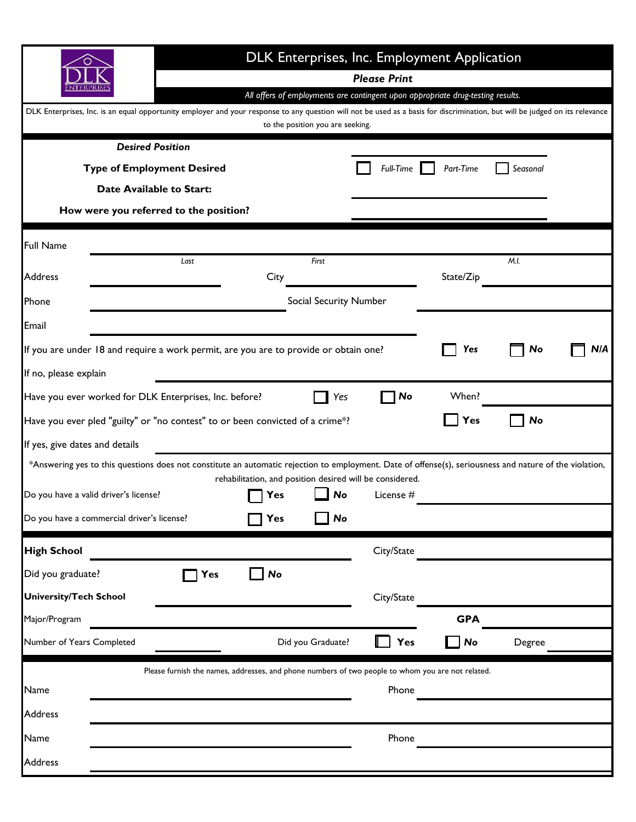|                                                                                                                                                         | DLK Enterprises, Inc. Employment Application                                                                                                                                                                                                                                           |                                                          |                                  |             |            |        |     |  |  |  |
|---------------------------------------------------------------------------------------------------------------------------------------------------------|----------------------------------------------------------------------------------------------------------------------------------------------------------------------------------------------------------------------------------------------------------------------------------------|----------------------------------------------------------|----------------------------------|-------------|------------|--------|-----|--|--|--|
|                                                                                                                                                         | <b>Please Print</b><br>All offers of employments are contingent upon appropriate drug-testing results.<br>DLK Enterprises, Inc. is an equal opportunity employer and your response to any question will not be used as a basis for discrimination, but will be judged on its relevance |                                                          |                                  |             |            |        |     |  |  |  |
|                                                                                                                                                         |                                                                                                                                                                                                                                                                                        |                                                          |                                  |             |            |        |     |  |  |  |
|                                                                                                                                                         |                                                                                                                                                                                                                                                                                        |                                                          | to the position you are seeking. |             |            |        |     |  |  |  |
| <b>Desired Position</b>                                                                                                                                 |                                                                                                                                                                                                                                                                                        |                                                          |                                  |             |            |        |     |  |  |  |
| <b>Type of Employment Desired</b>                                                                                                                       | <b>Full-Time</b>                                                                                                                                                                                                                                                                       | Part-Time                                                | Seasonal                         |             |            |        |     |  |  |  |
| <b>Date Available to Start:</b>                                                                                                                         |                                                                                                                                                                                                                                                                                        |                                                          |                                  |             |            |        |     |  |  |  |
| How were you referred to the position?                                                                                                                  |                                                                                                                                                                                                                                                                                        |                                                          |                                  |             |            |        |     |  |  |  |
| <b>Full Name</b>                                                                                                                                        |                                                                                                                                                                                                                                                                                        |                                                          |                                  |             |            |        |     |  |  |  |
| <b>Address</b>                                                                                                                                          | Last                                                                                                                                                                                                                                                                                   | City                                                     | First                            |             | State/Zip  | M.I.   |     |  |  |  |
| Phone                                                                                                                                                   |                                                                                                                                                                                                                                                                                        |                                                          | <b>Social Security Number</b>    |             |            |        |     |  |  |  |
| Email                                                                                                                                                   |                                                                                                                                                                                                                                                                                        |                                                          |                                  |             |            |        |     |  |  |  |
| If you are under 18 and require a work permit, are you are to provide or obtain one?                                                                    |                                                                                                                                                                                                                                                                                        |                                                          |                                  |             | Yes        | No     | N/A |  |  |  |
| If no, please explain                                                                                                                                   |                                                                                                                                                                                                                                                                                        |                                                          |                                  |             |            |        |     |  |  |  |
| Have you ever worked for DLK Enterprises, Inc. before?                                                                                                  |                                                                                                                                                                                                                                                                                        |                                                          | Yes                              | No          | When?      |        |     |  |  |  |
| Have you ever pled "guilty" or "no contest" to or been convicted of a crime*?                                                                           |                                                                                                                                                                                                                                                                                        |                                                          |                                  |             | Yes        | No     |     |  |  |  |
| If yes, give dates and details                                                                                                                          |                                                                                                                                                                                                                                                                                        |                                                          |                                  |             |            |        |     |  |  |  |
| *Answering yes to this questions does not constitute an automatic rejection to employment. Date of offense(s), seriousness and nature of the violation, |                                                                                                                                                                                                                                                                                        | rehabilitation, and position desired will be considered. |                                  |             |            |        |     |  |  |  |
| Do you have a valid driver's license?                                                                                                                   |                                                                                                                                                                                                                                                                                        | Yes                                                      | No                               | License $#$ |            |        |     |  |  |  |
| Do you have a commercial driver's license?                                                                                                              |                                                                                                                                                                                                                                                                                        | Yes                                                      | No                               |             |            |        |     |  |  |  |
| <b>High School</b>                                                                                                                                      |                                                                                                                                                                                                                                                                                        |                                                          |                                  | City/State  |            |        |     |  |  |  |
| Did you graduate?                                                                                                                                       | Yes                                                                                                                                                                                                                                                                                    | <b>No</b>                                                |                                  |             |            |        |     |  |  |  |
| <b>University/Tech School</b>                                                                                                                           |                                                                                                                                                                                                                                                                                        |                                                          |                                  | City/State  |            |        |     |  |  |  |
| Major/Program                                                                                                                                           |                                                                                                                                                                                                                                                                                        |                                                          |                                  |             | <b>GPA</b> |        |     |  |  |  |
| Number of Years Completed                                                                                                                               |                                                                                                                                                                                                                                                                                        |                                                          | Did you Graduate?                | Yes         | No         | Degree |     |  |  |  |
|                                                                                                                                                         | Please furnish the names, addresses, and phone numbers of two people to whom you are not related.                                                                                                                                                                                      |                                                          |                                  |             |            |        |     |  |  |  |
| Name                                                                                                                                                    |                                                                                                                                                                                                                                                                                        |                                                          |                                  | Phone       |            |        |     |  |  |  |
| Address                                                                                                                                                 |                                                                                                                                                                                                                                                                                        |                                                          |                                  |             |            |        |     |  |  |  |
| Name                                                                                                                                                    |                                                                                                                                                                                                                                                                                        |                                                          |                                  | Phone       |            |        |     |  |  |  |
| Address                                                                                                                                                 |                                                                                                                                                                                                                                                                                        |                                                          |                                  |             |            |        |     |  |  |  |